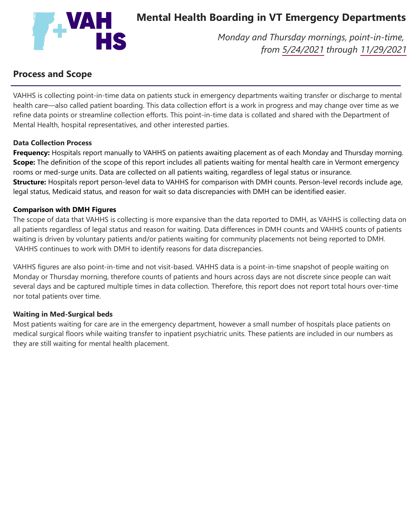

# **Mental Health Boarding in VT Emergency Departments**

*Monday and Thursday mornings, point-in-time, from 5/24/2021 through 11/29/2021*

## **Process and Scope**

VAHHS is collecting point-in-time data on patients stuck in emergency departments waiting transfer or discharge to mental health care—also called patient boarding. This data collection effort is a work in progress and may change over time as we refine data points or streamline collection efforts. This point-in-time data is collated and shared with the Department of Mental Health, hospital representatives, and other interested parties.

#### **Data Collection Process**

**Frequency:** Hospitals report manually to VAHHS on patients awaiting placement as of each Monday and Thursday morning. **Scope:** The definition of the scope of this report includes all patients waiting for mental health care in Vermont emergency rooms or med-surge units. Data are collected on all patients waiting, regardless of legal status or insurance. **Structure:** Hospitals report person-level data to VAHHS for comparison with DMH counts. Person-level records include age, legal status, Medicaid status, and reason for wait so data discrepancies with DMH can be identified easier.

#### **Comparison with DMH Figures**

The scope of data that VAHHS is collecting is more expansive than the data reported to DMH, as VAHHS is collecting data on all patients regardless of legal status and reason for waiting. Data differences in DMH counts and VAHHS counts of patients waiting is driven by voluntary patients and/or patients waiting for community placements not being reported to DMH. VAHHS continues to work with DMH to identify reasons for data discrepancies.

VAHHS figures are also point-in-time and not visit-based. VAHHS data is a point-in-time snapshot of people waiting on Monday or Thursday morning, therefore counts of patients and hours across days are not discrete since people can wait several days and be captured multiple times in data collection. Therefore, this report does not report total hours over-time nor total patients over time.

#### **Waiting in Med-Surgical beds**

Most patients waiting for care are in the emergency department, however a small number of hospitals place patients on medical surgical floors while waiting transfer to inpatient psychiatric units. These patients are included in our numbers as they are still waiting for mental health placement.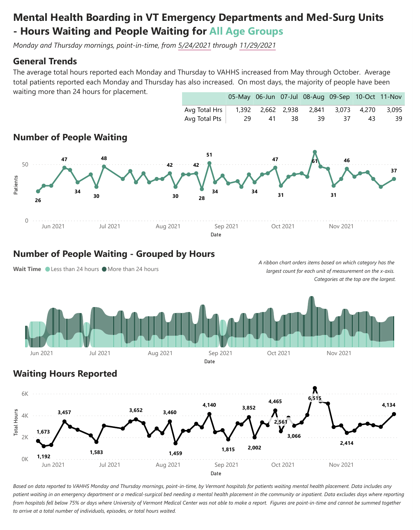# **Mental Health Boarding in VT Emergency Departments and Med-Surg Units - Hours Waiting and People Waiting for All Age Groups**

*Monday and Thursday mornings, point-in-time, from 5/24/2021 through 11/29/2021*

### **General Trends**

The average total hours reported each Monday and Thursday to VAHHS increased from May through October. Average total patients reported each Monday and Thursday has also increased. On most days, the majority of people have been waiting more than 24 hours for placement. 05-May 06-Jun 07-Jul 08-Aug 09-Sep 10-Oct 11-Nov



### **Number of People Waiting - Grouped by Hours**

Wait Time Less than 24 hours More than 24 hours *largest count for each unit of measurement on the x-axis. Categories at the top are the largest.*



*A ribbon chart orders items based on which category has the*

## **Waiting Hours Reported**



Based on data reported to VAHHS Monday and Thursday mornings, point-in-time, by Vermont hospitals for patients waiting mental health placement. Data includes any patient waiting in an emergency department or a medical-surgical bed needing a mental health placement in the community or inpatient. Data excludes days where reporting from hospitals fell below 75% or days where University of Vermont Medical Center was not able to make a report. Figures are point-in-time and cannot be summed together *to arrive at a total number of individuals, episodes, or total hours waited.*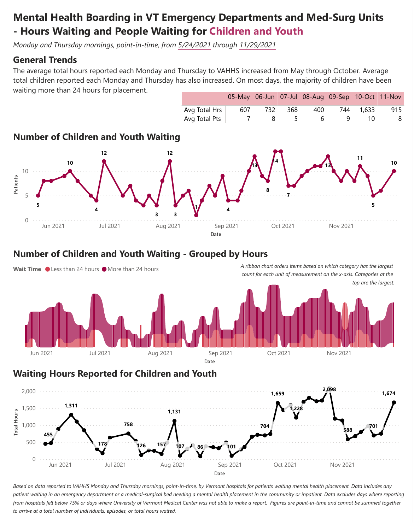# **Mental Health Boarding in VT Emergency Departments and Med-Surg Units - Hours Waiting and People Waiting for Children and Youth**

*Monday and Thursday mornings, point-in-time, from 5/24/2021 through 11/29/2021*

### **General Trends**

The average total hours reported each Monday and Thursday to VAHHS increased from May through October. Average total children reported each Monday and Thursday has also increased. On most days, the majority of children have been waiting more than 24 hours for placement.



### **Number of Children and Youth Waiting - Grouped by Hours**



#### **Waiting Hours Reported for Children and Youth**



Based on data reported to VAHHS Monday and Thursday mornings, point-in-time, by Vermont hospitals for patients waiting mental health placement. Data includes any patient waiting in an emergency department or a medical-surgical bed needing a mental health placement in the community or inpatient. Data excludes days where reporting from hospitals fell below 75% or days where University of Vermont Medical Center was not able to make a report. Figures are point-in-time and cannot be summed together *to arrive at a total number of individuals, episodes, or total hours waited.*